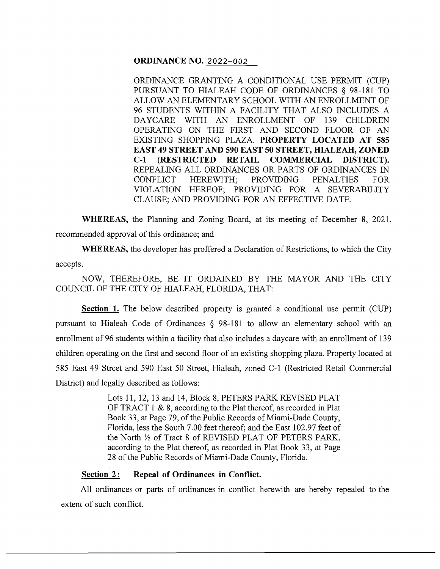# **ORDINANCE NO.** 2022-002

ORDINANCE GRANTING A CONDITIONAL USE PERMIT (CUP) PURSUANT TO HIALEAH CODE OF ORDINANCES § 98-181 TO ALLOW AN ELEMENTARY SCHOOL WITH AN ENROLLMENT OF 96 STUDENTS WITHIN A FACILITY THAT ALSO INCLUDES A DAYCARE WITH AN ENROLLMENT OF 139 CHILDREN OPERATING ON THE FIRST AND SECOND FLOOR OF AN EXISTING SHOPPING PLAZA. **PROPERTY LOCATED AT 585 EAST 49 STREET AND 590 EAST 50 STREET, HIALEAH, ZONED C-1 (RESTRICTED RETAIL COMMERCIAL DISTRICT).**  REPEALING ALL ORDINANCES OR PARTS OF ORDINANCES IN CONFLICT HEREWITH; PROVIDING PENALTIES FOR VIOLATION HEREOF; PROVIDING FOR A SEVERABILITY CLAUSE; AND PROVIDING FOR AN EFFECTIVE DATE.

**WHEREAS,** the Planning and Zoning Board, at its meeting of December 8, 2021, recommended approval of this ordinance; and

**WHEREAS,** the developer has proffered a Declaration of Restrictions, to which the City accepts.

NOW, THEREFORE, BE IT ORDAINED BY THE MAYOR AND THE CITY COUNCIL OF THE CITY OF HIALEAH, FLORIDA, THAT:

**Section 1.** The below described property is granted a conditional use permit (CUP) pursuant to Hialeah Code of Ordinances § 98-181 to allow an elementary school with an enrollment of 96 students within a facility that also includes a daycare with an enrollment of 139 children operating on the first and second floor of an existing shopping plaza. Property located at 585 East 49 Street and 590 East 50 Street, Hialeah, zoned C-1 (Restricted Retail Commercial District) and legally described as follows:

> Lots 11, 12, 13 and 14, Block 8, PETERS PARK REVISED PLAT OF TRACT 1 & 8, according to the Plat thereof, as recorded in Plat Book 33, at Page 79, of the Public Records of Miami-Dade County, Florida, less the South 7.00 feet thereof; and the East 102.97 feet of the North Yz of Tract 8 of REVISED PLAT OF PETERS PARK, according to the Plat thereof, as recorded in Plat Book 33, at Page 28 of the Public Records of Miami-Dade County, Florida.

# **Section 2:** Repeal of Ordinances in Conflict.

All ordinances or parts of ordinances in conflict herewith are hereby repealed to the extent of such conflict.